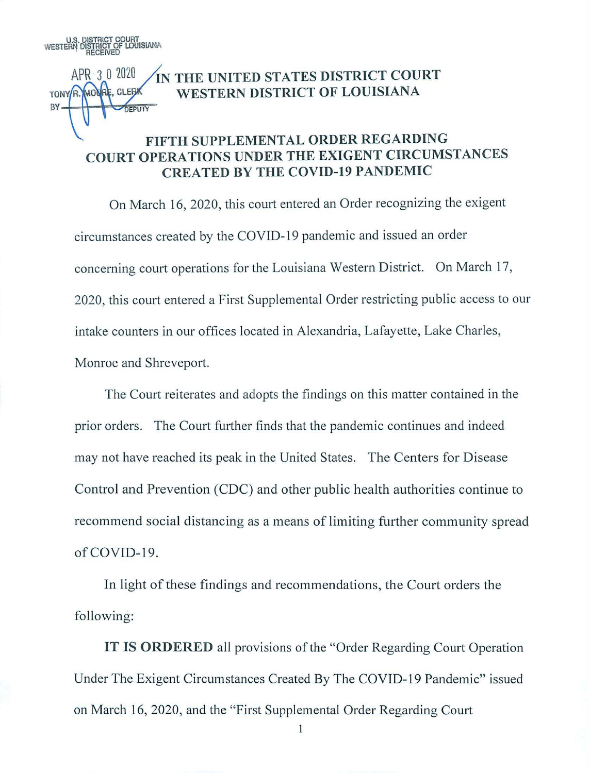## **U.S. DISTRICT COURT WESTERN DISTRICT OF LOUISIANA** · **RECEIVED**  APR 3 0 2020 **IN THE UNITED STATES DISTRICT COURT WESTERN DISTRICT OF LOUISIANA CLEB TONY/R**  $\mathbf{R}$ **FIFTH SUPPLEMENTAL ORDER REGARDING COURT OPERATIONS UNDER THE EXIGENT CIRCUMSTANCES**

On March 16, 2020, this court entered an Order recognizing the exigent circumstances created by the COVID-19 pandemic and issued an order concerning court operations for the Louisiana Western District. On March 17, 2020, this court entered a First Supplemental Order restricting public access to our intake counters in our offices located in Alexandria, Lafayette, Lake Charles, Monroe and Shreveport.

**CREATED BY THE COVID-19 PANDEMIC** 

The Court reiterates and adopts the findings on this matter contained in the prior orders. The Court further finds that the pandemic continues and indeed may not have reached its peak in the United States. The Centers for Disease Control and Prevention (CDC) and other public health authorities continue to recommend social distancing as a means of limiting further community spread of COVID-19.

In light of these findings and recommendations, the Court orders the following:

**IT IS ORDERED** all provisions of the "Order Regarding Court Operation Under The Exigent Circumstances Created By The COVID-19 Pandemic" issued on March 16, 2020, and the "First Supplemental Order Regarding Court